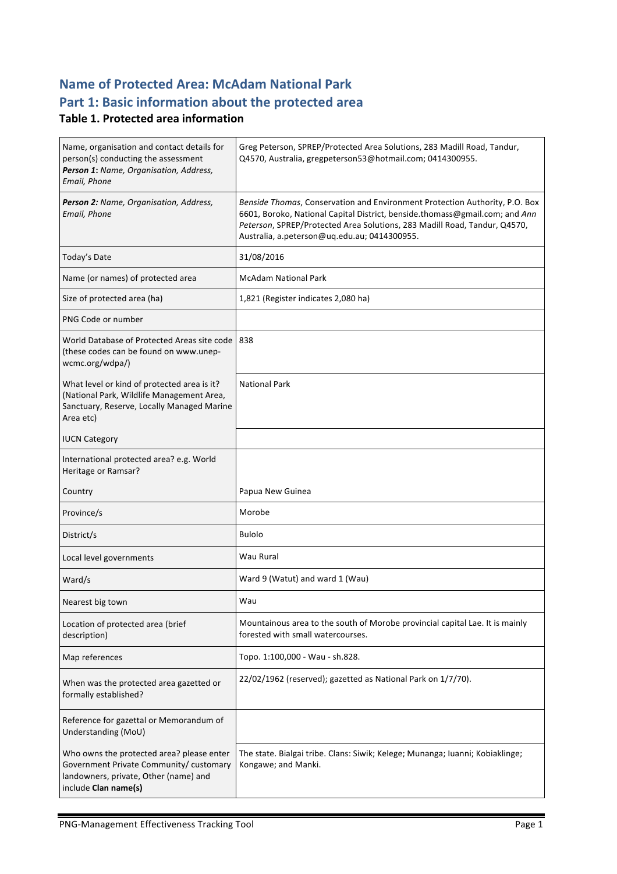# **Name of Protected Area: McAdam National Park** Part 1: Basic information about the protected area

#### **Table 1. Protected area information**

| Name, organisation and contact details for<br>person(s) conducting the assessment<br>Person 1: Name, Organisation, Address,<br>Email, Phone           | Greg Peterson, SPREP/Protected Area Solutions, 283 Madill Road, Tandur,<br>Q4570, Australia, gregpeterson53@hotmail.com; 0414300955.                                                                                                                                                    |
|-------------------------------------------------------------------------------------------------------------------------------------------------------|-----------------------------------------------------------------------------------------------------------------------------------------------------------------------------------------------------------------------------------------------------------------------------------------|
| Person 2: Name, Organisation, Address,<br>Email, Phone                                                                                                | Benside Thomas, Conservation and Environment Protection Authority, P.O. Box<br>6601, Boroko, National Capital District, benside.thomass@gmail.com; and Ann<br>Peterson, SPREP/Protected Area Solutions, 283 Madill Road, Tandur, Q4570,<br>Australia, a.peterson@uq.edu.au; 0414300955. |
| Today's Date                                                                                                                                          | 31/08/2016                                                                                                                                                                                                                                                                              |
| Name (or names) of protected area                                                                                                                     | <b>McAdam National Park</b>                                                                                                                                                                                                                                                             |
| Size of protected area (ha)                                                                                                                           | 1,821 (Register indicates 2,080 ha)                                                                                                                                                                                                                                                     |
| PNG Code or number                                                                                                                                    |                                                                                                                                                                                                                                                                                         |
| World Database of Protected Areas site code 1838<br>(these codes can be found on www.unep-<br>wcmc.org/wdpa/)                                         |                                                                                                                                                                                                                                                                                         |
| What level or kind of protected area is it?<br>(National Park, Wildlife Management Area,<br>Sanctuary, Reserve, Locally Managed Marine<br>Area etc)   | <b>National Park</b>                                                                                                                                                                                                                                                                    |
| <b>IUCN Category</b>                                                                                                                                  |                                                                                                                                                                                                                                                                                         |
| International protected area? e.g. World<br>Heritage or Ramsar?                                                                                       |                                                                                                                                                                                                                                                                                         |
| Country                                                                                                                                               | Papua New Guinea                                                                                                                                                                                                                                                                        |
| Province/s                                                                                                                                            | Morobe                                                                                                                                                                                                                                                                                  |
| District/s                                                                                                                                            | <b>Bulolo</b>                                                                                                                                                                                                                                                                           |
| Local level governments                                                                                                                               | Wau Rural                                                                                                                                                                                                                                                                               |
| Ward/s                                                                                                                                                | Ward 9 (Watut) and ward 1 (Wau)                                                                                                                                                                                                                                                         |
| Nearest big town                                                                                                                                      | Wau                                                                                                                                                                                                                                                                                     |
| Location of protected area (brief<br>description)                                                                                                     | Mountainous area to the south of Morobe provincial capital Lae. It is mainly<br>forested with small watercourses.                                                                                                                                                                       |
| Map references                                                                                                                                        | Topo. 1:100,000 - Wau - sh.828.                                                                                                                                                                                                                                                         |
| When was the protected area gazetted or<br>formally established?                                                                                      | 22/02/1962 (reserved); gazetted as National Park on 1/7/70).                                                                                                                                                                                                                            |
| Reference for gazettal or Memorandum of<br>Understanding (MoU)                                                                                        |                                                                                                                                                                                                                                                                                         |
| Who owns the protected area? please enter<br>Government Private Community/ customary<br>landowners, private, Other (name) and<br>include Clan name(s) | The state. Bialgai tribe. Clans: Siwik; Kelege; Munanga; Iuanni; Kobiaklinge;<br>Kongawe; and Manki.                                                                                                                                                                                    |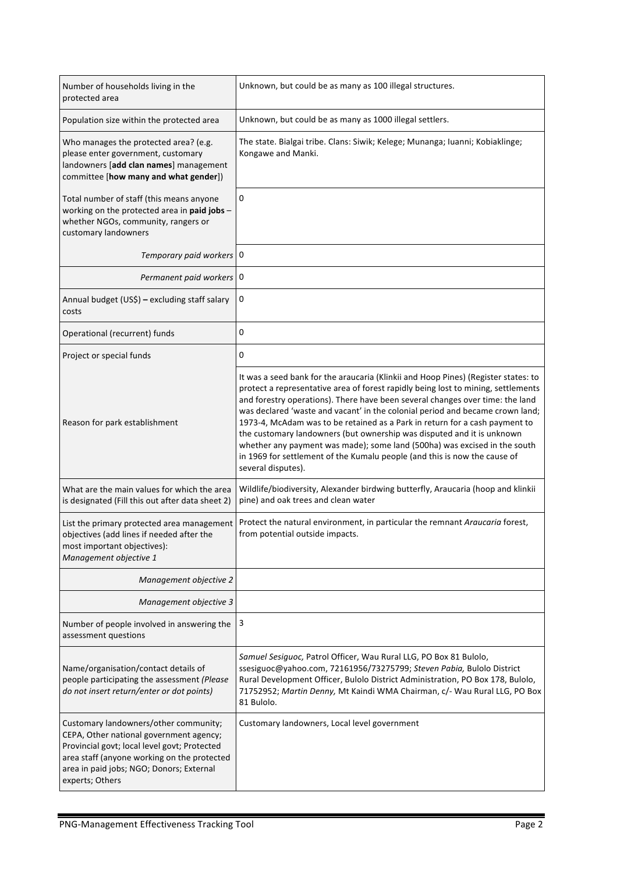| Number of households living in the<br>protected area                                                                                                                                                                                           | Unknown, but could be as many as 100 illegal structures.                                                                                                                                                                                                                                                                                                                                                                                                                                                                                                                                                                                                                           |
|------------------------------------------------------------------------------------------------------------------------------------------------------------------------------------------------------------------------------------------------|------------------------------------------------------------------------------------------------------------------------------------------------------------------------------------------------------------------------------------------------------------------------------------------------------------------------------------------------------------------------------------------------------------------------------------------------------------------------------------------------------------------------------------------------------------------------------------------------------------------------------------------------------------------------------------|
| Population size within the protected area                                                                                                                                                                                                      | Unknown, but could be as many as 1000 illegal settlers.                                                                                                                                                                                                                                                                                                                                                                                                                                                                                                                                                                                                                            |
| Who manages the protected area? (e.g.<br>please enter government, customary<br>landowners [add clan names] management<br>committee [how many and what gender])                                                                                 | The state. Bialgai tribe. Clans: Siwik; Kelege; Munanga; Iuanni; Kobiaklinge;<br>Kongawe and Manki.                                                                                                                                                                                                                                                                                                                                                                                                                                                                                                                                                                                |
| Total number of staff (this means anyone<br>working on the protected area in paid jobs -<br>whether NGOs, community, rangers or<br>customary landowners                                                                                        | 0                                                                                                                                                                                                                                                                                                                                                                                                                                                                                                                                                                                                                                                                                  |
| Temporary paid workers 0                                                                                                                                                                                                                       |                                                                                                                                                                                                                                                                                                                                                                                                                                                                                                                                                                                                                                                                                    |
| Permanent paid workers 0                                                                                                                                                                                                                       |                                                                                                                                                                                                                                                                                                                                                                                                                                                                                                                                                                                                                                                                                    |
| Annual budget (US\$) - excluding staff salary<br>costs                                                                                                                                                                                         | 0                                                                                                                                                                                                                                                                                                                                                                                                                                                                                                                                                                                                                                                                                  |
| Operational (recurrent) funds                                                                                                                                                                                                                  | 0                                                                                                                                                                                                                                                                                                                                                                                                                                                                                                                                                                                                                                                                                  |
| Project or special funds                                                                                                                                                                                                                       | 0                                                                                                                                                                                                                                                                                                                                                                                                                                                                                                                                                                                                                                                                                  |
| Reason for park establishment                                                                                                                                                                                                                  | It was a seed bank for the araucaria (Klinkii and Hoop Pines) (Register states: to<br>protect a representative area of forest rapidly being lost to mining, settlements<br>and forestry operations). There have been several changes over time: the land<br>was declared 'waste and vacant' in the colonial period and became crown land;<br>1973-4, McAdam was to be retained as a Park in return for a cash payment to<br>the customary landowners (but ownership was disputed and it is unknown<br>whether any payment was made); some land (500ha) was excised in the south<br>in 1969 for settlement of the Kumalu people (and this is now the cause of<br>several disputes). |
| What are the main values for which the area<br>is designated (Fill this out after data sheet 2)                                                                                                                                                | Wildlife/biodiversity, Alexander birdwing butterfly, Araucaria (hoop and klinkii<br>pine) and oak trees and clean water                                                                                                                                                                                                                                                                                                                                                                                                                                                                                                                                                            |
| List the primary protected area management<br>objectives (add lines if needed after the<br>most important objectives):<br>Management objective 1                                                                                               | Protect the natural environment, in particular the remnant Araucaria forest,<br>from potential outside impacts.                                                                                                                                                                                                                                                                                                                                                                                                                                                                                                                                                                    |
| Management objective 2                                                                                                                                                                                                                         |                                                                                                                                                                                                                                                                                                                                                                                                                                                                                                                                                                                                                                                                                    |
| Management objective 3                                                                                                                                                                                                                         |                                                                                                                                                                                                                                                                                                                                                                                                                                                                                                                                                                                                                                                                                    |
| Number of people involved in answering the<br>assessment questions                                                                                                                                                                             | 3                                                                                                                                                                                                                                                                                                                                                                                                                                                                                                                                                                                                                                                                                  |
| Name/organisation/contact details of<br>people participating the assessment (Please<br>do not insert return/enter or dot points)                                                                                                               | Samuel Sesiguoc, Patrol Officer, Wau Rural LLG, PO Box 81 Bulolo,<br>ssesiguoc@yahoo.com, 72161956/73275799; Steven Pabia, Bulolo District<br>Rural Development Officer, Bulolo District Administration, PO Box 178, Bulolo,<br>71752952; Martin Denny, Mt Kaindi WMA Chairman, c/- Wau Rural LLG, PO Box<br>81 Bulolo.                                                                                                                                                                                                                                                                                                                                                            |
| Customary landowners/other community;<br>CEPA, Other national government agency;<br>Provincial govt; local level govt; Protected<br>area staff (anyone working on the protected<br>area in paid jobs; NGO; Donors; External<br>experts; Others | Customary landowners, Local level government                                                                                                                                                                                                                                                                                                                                                                                                                                                                                                                                                                                                                                       |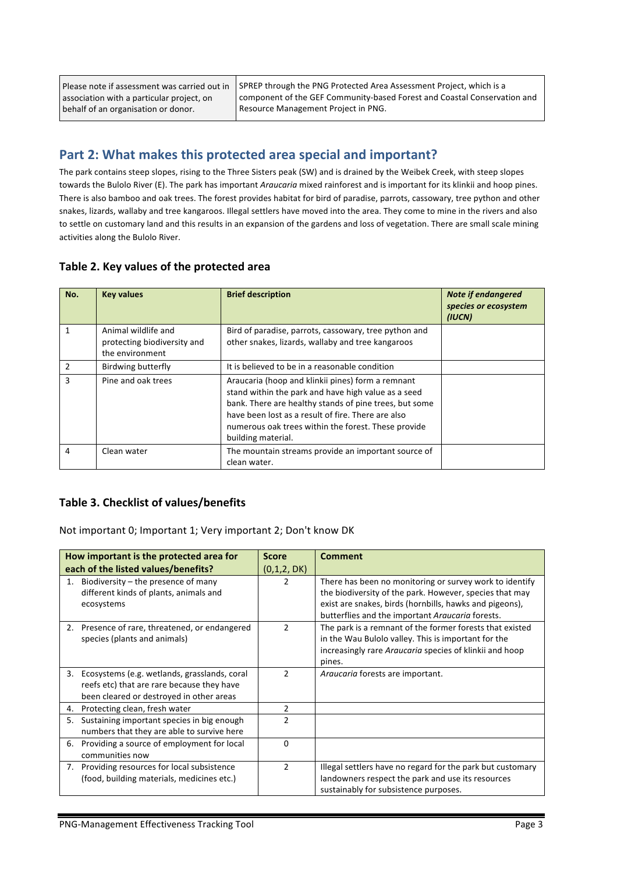Please note if assessment was carried out in association with a particular project, on behalf of an organisation or donor.

SPREP through the PNG Protected Area Assessment Project, which is a component of the GEF Community-based Forest and Coastal Conservation and Resource Management Project in PNG.

## **Part 2: What makes this protected area special and important?**

The park contains steep slopes, rising to the Three Sisters peak (SW) and is drained by the Weibek Creek, with steep slopes towards the Bulolo River (E). The park has important *Araucaria* mixed rainforest and is important for its klinkii and hoop pines. There is also bamboo and oak trees. The forest provides habitat for bird of paradise, parrots, cassowary, tree python and other snakes, lizards, wallaby and tree kangaroos. Illegal settlers have moved into the area. They come to mine in the rivers and also to settle on customary land and this results in an expansion of the gardens and loss of vegetation. There are small scale mining activities along the Bulolo River.

| No.            | <b>Key values</b>                                                     | <b>Brief description</b>                                                                                                                                                                                                                                                                              | <b>Note if endangered</b><br>species or ecosystem<br>(IUCN) |
|----------------|-----------------------------------------------------------------------|-------------------------------------------------------------------------------------------------------------------------------------------------------------------------------------------------------------------------------------------------------------------------------------------------------|-------------------------------------------------------------|
|                | Animal wildlife and<br>protecting biodiversity and<br>the environment | Bird of paradise, parrots, cassowary, tree python and<br>other snakes, lizards, wallaby and tree kangaroos                                                                                                                                                                                            |                                                             |
| $\mathfrak{p}$ | Birdwing butterfly                                                    | It is believed to be in a reasonable condition                                                                                                                                                                                                                                                        |                                                             |
| 3              | Pine and oak trees                                                    | Araucaria (hoop and klinkii pines) form a remnant<br>stand within the park and have high value as a seed<br>bank. There are healthy stands of pine trees, but some<br>have been lost as a result of fire. There are also<br>numerous oak trees within the forest. These provide<br>building material. |                                                             |
| 4              | Clean water                                                           | The mountain streams provide an important source of<br>clean water.                                                                                                                                                                                                                                   |                                                             |

#### Table 2. Key values of the protected area

#### Table 3. Checklist of values/benefits

Not important 0; Important 1; Very important 2; Don't know DK

|    | How important is the protected area for      | <b>Score</b>  | <b>Comment</b>                                             |
|----|----------------------------------------------|---------------|------------------------------------------------------------|
|    | each of the listed values/benefits?          | (0,1,2, DK)   |                                                            |
| 1. | Biodiversity $-$ the presence of many        |               | There has been no monitoring or survey work to identify    |
|    | different kinds of plants, animals and       |               | the biodiversity of the park. However, species that may    |
|    | ecosystems                                   |               | exist are snakes, birds (hornbills, hawks and pigeons),    |
|    |                                              |               | butterflies and the important Araucaria forests.           |
| 2. | Presence of rare, threatened, or endangered  | $\mathcal{P}$ | The park is a remnant of the former forests that existed   |
|    | species (plants and animals)                 |               | in the Wau Bulolo valley. This is important for the        |
|    |                                              |               | increasingly rare Araucaria species of klinkii and hoop    |
|    |                                              |               | pines.                                                     |
| 3. | Ecosystems (e.g. wetlands, grasslands, coral | C             | Araucaria forests are important.                           |
|    | reefs etc) that are rare because they have   |               |                                                            |
|    | been cleared or destroyed in other areas     |               |                                                            |
| 4. | Protecting clean, fresh water                | 2             |                                                            |
| 5. | Sustaining important species in big enough   | 2             |                                                            |
|    | numbers that they are able to survive here   |               |                                                            |
| 6. | Providing a source of employment for local   | $\Omega$      |                                                            |
|    | communities now                              |               |                                                            |
| 7. | Providing resources for local subsistence    | $\mathcal{P}$ | Illegal settlers have no regard for the park but customary |
|    | (food, building materials, medicines etc.)   |               | landowners respect the park and use its resources          |
|    |                                              |               | sustainably for subsistence purposes.                      |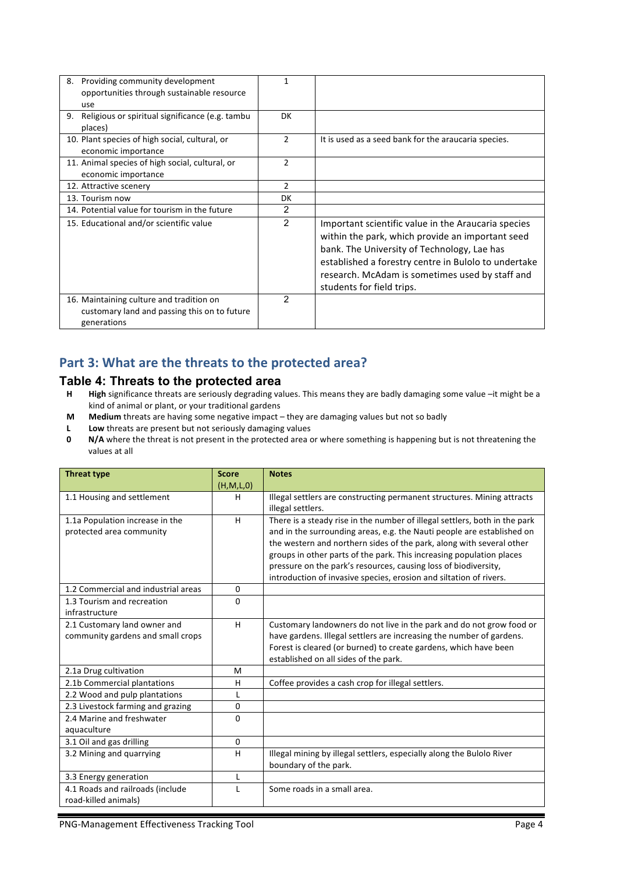| Providing community development<br>8.                 | 1              |                                                      |
|-------------------------------------------------------|----------------|------------------------------------------------------|
| opportunities through sustainable resource            |                |                                                      |
| use                                                   |                |                                                      |
| Religious or spiritual significance (e.g. tambu<br>9. | DK.            |                                                      |
| places)                                               |                |                                                      |
| 10. Plant species of high social, cultural, or        | $\mathfrak{p}$ | It is used as a seed bank for the araucaria species. |
| economic importance                                   |                |                                                      |
| 11. Animal species of high social, cultural, or       | $\mathfrak{p}$ |                                                      |
| economic importance                                   |                |                                                      |
| 12. Attractive scenery                                | $\overline{2}$ |                                                      |
| 13. Tourism now                                       | DK             |                                                      |
| 14. Potential value for tourism in the future         | 2              |                                                      |
| 15. Educational and/or scientific value               | $\mathfrak{p}$ | Important scientific value in the Araucaria species  |
|                                                       |                | within the park, which provide an important seed     |
|                                                       |                | bank. The University of Technology, Lae has          |
|                                                       |                | established a forestry centre in Bulolo to undertake |
|                                                       |                | research. McAdam is sometimes used by staff and      |
|                                                       |                | students for field trips.                            |
|                                                       | $\mathfrak{p}$ |                                                      |
| 16. Maintaining culture and tradition on              |                |                                                      |
| customary land and passing this on to future          |                |                                                      |
| generations                                           |                |                                                      |

## Part 3: What are the threats to the protected area?

# **Table 4: Threats to the protected area**<br>**H** High significance threats are seriously degrading va

- High significance threats are seriously degrading values. This means they are badly damaging some value -it might be a kind of animal or plant, or your traditional gardens
- **M** Medium threats are having some negative impact they are damaging values but not so badly
- **L** Low threats are present but not seriously damaging values
- **0 N/A** where the threat is not present in the protected area or where something is happening but is not threatening the values at all

| <b>Threat type</b>                  | <b>Score</b> | <b>Notes</b>                                                                                 |
|-------------------------------------|--------------|----------------------------------------------------------------------------------------------|
|                                     | (H,M,L,0)    |                                                                                              |
| 1.1 Housing and settlement          | н            | Illegal settlers are constructing permanent structures. Mining attracts<br>illegal settlers. |
| 1.1a Population increase in the     | H            | There is a steady rise in the number of illegal settlers, both in the park                   |
| protected area community            |              | and in the surrounding areas, e.g. the Nauti people are established on                       |
|                                     |              | the western and northern sides of the park, along with several other                         |
|                                     |              | groups in other parts of the park. This increasing population places                         |
|                                     |              | pressure on the park's resources, causing loss of biodiversity,                              |
|                                     |              | introduction of invasive species, erosion and siltation of rivers.                           |
| 1.2 Commercial and industrial areas | $\mathbf{0}$ |                                                                                              |
| 1.3 Tourism and recreation          | $\Omega$     |                                                                                              |
| infrastructure                      |              |                                                                                              |
| 2.1 Customary land owner and        | H.           | Customary landowners do not live in the park and do not grow food or                         |
| community gardens and small crops   |              | have gardens. Illegal settlers are increasing the number of gardens.                         |
|                                     |              | Forest is cleared (or burned) to create gardens, which have been                             |
|                                     |              | established on all sides of the park.                                                        |
| 2.1a Drug cultivation               | M            |                                                                                              |
| 2.1b Commercial plantations         | H            | Coffee provides a cash crop for illegal settlers.                                            |
| 2.2 Wood and pulp plantations       | L            |                                                                                              |
| 2.3 Livestock farming and grazing   | $\Omega$     |                                                                                              |
| 2.4 Marine and freshwater           | $\Omega$     |                                                                                              |
| aquaculture                         |              |                                                                                              |
| 3.1 Oil and gas drilling            | $\mathbf{0}$ |                                                                                              |
| 3.2 Mining and quarrying            | H.           | Illegal mining by illegal settlers, especially along the Bulolo River                        |
|                                     |              | boundary of the park.                                                                        |
| 3.3 Energy generation               | L            |                                                                                              |
| 4.1 Roads and railroads (include    | T            | Some roads in a small area.                                                                  |
| road-killed animals)                |              |                                                                                              |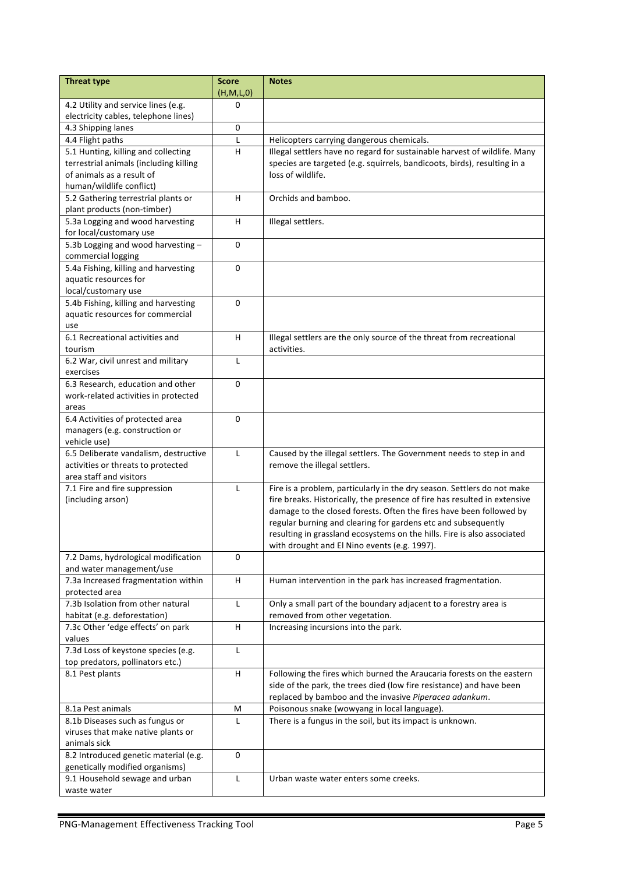| <b>Threat type</b>                                                      | <b>Score</b> | <b>Notes</b>                                                              |
|-------------------------------------------------------------------------|--------------|---------------------------------------------------------------------------|
|                                                                         | (H,M,L,0)    |                                                                           |
| 4.2 Utility and service lines (e.g.                                     | 0            |                                                                           |
| electricity cables, telephone lines)                                    |              |                                                                           |
| 4.3 Shipping lanes                                                      | 0            |                                                                           |
| 4.4 Flight paths                                                        | L            | Helicopters carrying dangerous chemicals.                                 |
| 5.1 Hunting, killing and collecting                                     | H            | Illegal settlers have no regard for sustainable harvest of wildlife. Many |
| terrestrial animals (including killing                                  |              | species are targeted (e.g. squirrels, bandicoots, birds), resulting in a  |
| of animals as a result of                                               |              | loss of wildlife.                                                         |
| human/wildlife conflict)                                                |              |                                                                           |
| 5.2 Gathering terrestrial plants or                                     | н            | Orchids and bamboo.                                                       |
| plant products (non-timber)                                             |              |                                                                           |
| 5.3a Logging and wood harvesting                                        | H            | Illegal settlers.                                                         |
| for local/customary use                                                 |              |                                                                           |
| 5.3b Logging and wood harvesting -                                      | 0            |                                                                           |
| commercial logging                                                      |              |                                                                           |
| 5.4a Fishing, killing and harvesting                                    | $\Omega$     |                                                                           |
| aquatic resources for                                                   |              |                                                                           |
| local/customary use                                                     |              |                                                                           |
| 5.4b Fishing, killing and harvesting                                    | $\Omega$     |                                                                           |
| aquatic resources for commercial                                        |              |                                                                           |
| use                                                                     |              |                                                                           |
| 6.1 Recreational activities and                                         | H            | Illegal settlers are the only source of the threat from recreational      |
| tourism                                                                 |              | activities.                                                               |
| 6.2 War, civil unrest and military                                      | $\mathsf{L}$ |                                                                           |
| exercises                                                               |              |                                                                           |
| 6.3 Research, education and other                                       | $\Omega$     |                                                                           |
| work-related activities in protected                                    |              |                                                                           |
| areas                                                                   |              |                                                                           |
| 6.4 Activities of protected area                                        | 0            |                                                                           |
| managers (e.g. construction or                                          |              |                                                                           |
| vehicle use)                                                            |              |                                                                           |
| 6.5 Deliberate vandalism, destructive                                   | L            | Caused by the illegal settlers. The Government needs to step in and       |
| activities or threats to protected                                      |              | remove the illegal settlers.                                              |
| area staff and visitors                                                 |              |                                                                           |
| 7.1 Fire and fire suppression                                           | $\mathsf{L}$ | Fire is a problem, particularly in the dry season. Settlers do not make   |
| (including arson)                                                       |              | fire breaks. Historically, the presence of fire has resulted in extensive |
|                                                                         |              | damage to the closed forests. Often the fires have been followed by       |
|                                                                         |              | regular burning and clearing for gardens etc and subsequently             |
|                                                                         |              | resulting in grassland ecosystems on the hills. Fire is also associated   |
|                                                                         | $\mathbf 0$  | with drought and El Nino events (e.g. 1997).                              |
| 7.2 Dams, hydrological modification                                     |              |                                                                           |
| and water management/use                                                | H            |                                                                           |
| 7.3a Increased fragmentation within<br>protected area                   |              | Human intervention in the park has increased fragmentation.               |
| 7.3b Isolation from other natural                                       | L            | Only a small part of the boundary adjacent to a forestry area is          |
|                                                                         |              |                                                                           |
| habitat (e.g. deforestation)<br>7.3c Other 'edge effects' on park       | H.           | removed from other vegetation.                                            |
| values                                                                  |              | Increasing incursions into the park.                                      |
|                                                                         | $\mathsf{L}$ |                                                                           |
| 7.3d Loss of keystone species (e.g.<br>top predators, pollinators etc.) |              |                                                                           |
|                                                                         | H            | Following the fires which burned the Araucaria forests on the eastern     |
| 8.1 Pest plants                                                         |              | side of the park, the trees died (low fire resistance) and have been      |
|                                                                         |              | replaced by bamboo and the invasive Piperacea adankum.                    |
| 8.1a Pest animals                                                       | М            | Poisonous snake (wowyang in local language).                              |
|                                                                         | $\mathbf{I}$ |                                                                           |
| 8.1b Diseases such as fungus or                                         |              | There is a fungus in the soil, but its impact is unknown.                 |
| viruses that make native plants or<br>animals sick                      |              |                                                                           |
| 8.2 Introduced genetic material (e.g.                                   | 0            |                                                                           |
| genetically modified organisms)                                         |              |                                                                           |
| 9.1 Household sewage and urban                                          | L            | Urban waste water enters some creeks.                                     |
| waste water                                                             |              |                                                                           |
|                                                                         |              |                                                                           |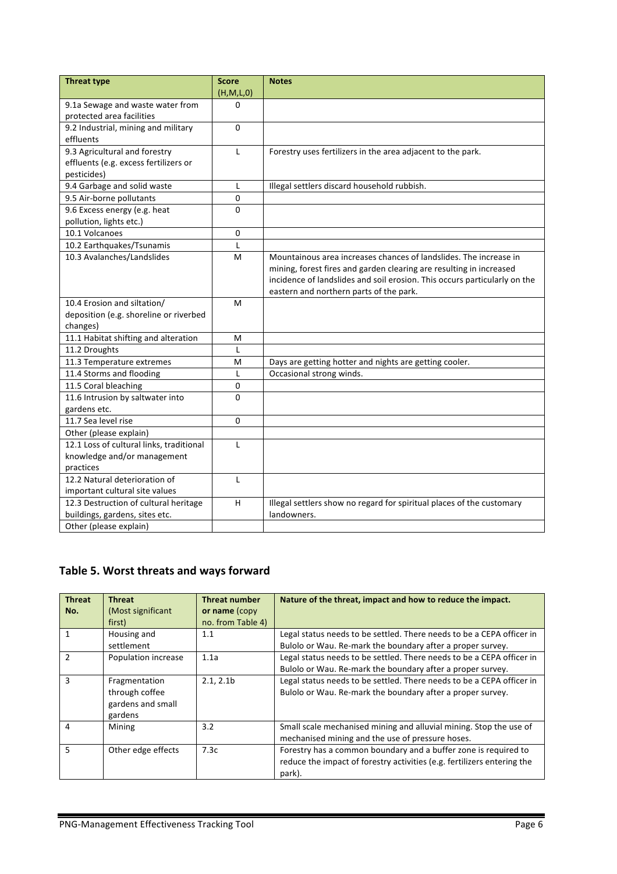| <b>Threat type</b>                       | <b>Score</b> | <b>Notes</b>                                                              |
|------------------------------------------|--------------|---------------------------------------------------------------------------|
|                                          | (H,M,L,0)    |                                                                           |
| 9.1a Sewage and waste water from         | 0            |                                                                           |
| protected area facilities                |              |                                                                           |
| 9.2 Industrial, mining and military      | 0            |                                                                           |
| effluents                                |              |                                                                           |
| 9.3 Agricultural and forestry            | I.           | Forestry uses fertilizers in the area adjacent to the park.               |
| effluents (e.g. excess fertilizers or    |              |                                                                           |
| pesticides)                              |              |                                                                           |
| 9.4 Garbage and solid waste              | L            | Illegal settlers discard household rubbish.                               |
| 9.5 Air-borne pollutants                 | 0            |                                                                           |
| 9.6 Excess energy (e.g. heat             | 0            |                                                                           |
| pollution, lights etc.)                  |              |                                                                           |
| 10.1 Volcanoes                           | 0            |                                                                           |
| 10.2 Earthquakes/Tsunamis                | L            |                                                                           |
| 10.3 Avalanches/Landslides               | M            | Mountainous area increases chances of landslides. The increase in         |
|                                          |              | mining, forest fires and garden clearing are resulting in increased       |
|                                          |              | incidence of landslides and soil erosion. This occurs particularly on the |
|                                          |              | eastern and northern parts of the park.                                   |
| 10.4 Erosion and siltation/              | M            |                                                                           |
| deposition (e.g. shoreline or riverbed   |              |                                                                           |
| changes)                                 |              |                                                                           |
| 11.1 Habitat shifting and alteration     | M            |                                                                           |
| 11.2 Droughts                            | L            |                                                                           |
| 11.3 Temperature extremes                | M            | Days are getting hotter and nights are getting cooler.                    |
| 11.4 Storms and flooding                 | L            | Occasional strong winds.                                                  |
| 11.5 Coral bleaching                     | 0            |                                                                           |
| 11.6 Intrusion by saltwater into         | 0            |                                                                           |
| gardens etc.                             |              |                                                                           |
| 11.7 Sea level rise                      | $\Omega$     |                                                                           |
| Other (please explain)                   |              |                                                                           |
| 12.1 Loss of cultural links, traditional | L            |                                                                           |
| knowledge and/or management              |              |                                                                           |
| practices                                |              |                                                                           |
| 12.2 Natural deterioration of            | L            |                                                                           |
| important cultural site values           |              |                                                                           |
| 12.3 Destruction of cultural heritage    | H            | Illegal settlers show no regard for spiritual places of the customary     |
| buildings, gardens, sites etc.           |              | landowners.                                                               |
| Other (please explain)                   |              |                                                                           |

# **Table 5. Worst threats and ways forward**

| <b>Threat</b><br>No. | <b>Threat</b><br>(Most significant<br>first)                    | <b>Threat number</b><br>or name (copy<br>no. from Table 4) | Nature of the threat, impact and how to reduce the impact.                                                                                           |
|----------------------|-----------------------------------------------------------------|------------------------------------------------------------|------------------------------------------------------------------------------------------------------------------------------------------------------|
|                      | Housing and<br>settlement                                       | 1.1                                                        | Legal status needs to be settled. There needs to be a CEPA officer in<br>Bulolo or Wau. Re-mark the boundary after a proper survey.                  |
| $\mathcal{P}$        | Population increase                                             | 1.1a                                                       | Legal status needs to be settled. There needs to be a CEPA officer in<br>Bulolo or Wau. Re-mark the boundary after a proper survey.                  |
| 3                    | Fragmentation<br>through coffee<br>gardens and small<br>gardens | 2.1, 2.1b                                                  | Legal status needs to be settled. There needs to be a CEPA officer in<br>Bulolo or Wau. Re-mark the boundary after a proper survey.                  |
| 4                    | Mining                                                          | 3.2                                                        | Small scale mechanised mining and alluvial mining. Stop the use of<br>mechanised mining and the use of pressure hoses.                               |
| 5                    | Other edge effects                                              | 7.3c                                                       | Forestry has a common boundary and a buffer zone is required to<br>reduce the impact of forestry activities (e.g. fertilizers entering the<br>park). |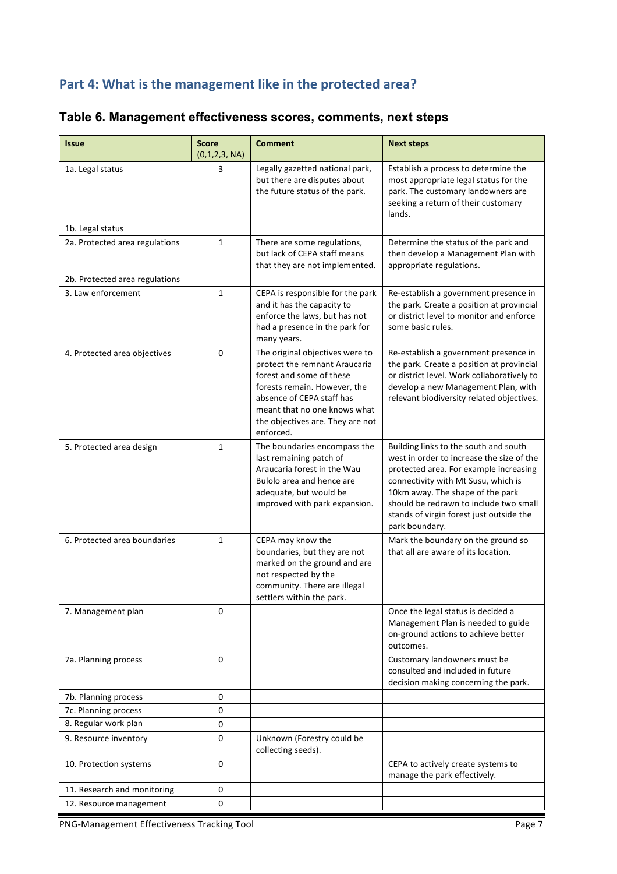# Part 4: What is the management like in the protected area?

| Table 6. Management effectiveness scores, comments, next steps |  |  |
|----------------------------------------------------------------|--|--|
|                                                                |  |  |

| <b>Issue</b>                   | <b>Score</b><br>(0,1,2,3, NA) | <b>Comment</b>                                                                                                                                                                                                                             | <b>Next steps</b>                                                                                                                                                                                                                                                                                               |
|--------------------------------|-------------------------------|--------------------------------------------------------------------------------------------------------------------------------------------------------------------------------------------------------------------------------------------|-----------------------------------------------------------------------------------------------------------------------------------------------------------------------------------------------------------------------------------------------------------------------------------------------------------------|
| 1a. Legal status               | 3                             | Legally gazetted national park,<br>but there are disputes about<br>the future status of the park.                                                                                                                                          | Establish a process to determine the<br>most appropriate legal status for the<br>park. The customary landowners are<br>seeking a return of their customary<br>lands.                                                                                                                                            |
| 1b. Legal status               |                               |                                                                                                                                                                                                                                            |                                                                                                                                                                                                                                                                                                                 |
| 2a. Protected area regulations | $\mathbf{1}$                  | There are some regulations,<br>but lack of CEPA staff means<br>that they are not implemented.                                                                                                                                              | Determine the status of the park and<br>then develop a Management Plan with<br>appropriate regulations.                                                                                                                                                                                                         |
| 2b. Protected area regulations |                               |                                                                                                                                                                                                                                            |                                                                                                                                                                                                                                                                                                                 |
| 3. Law enforcement             | $\mathbf{1}$                  | CEPA is responsible for the park<br>and it has the capacity to<br>enforce the laws, but has not<br>had a presence in the park for<br>many years.                                                                                           | Re-establish a government presence in<br>the park. Create a position at provincial<br>or district level to monitor and enforce<br>some basic rules.                                                                                                                                                             |
| 4. Protected area objectives   | 0                             | The original objectives were to<br>protect the remnant Araucaria<br>forest and some of these<br>forests remain. However, the<br>absence of CEPA staff has<br>meant that no one knows what<br>the objectives are. They are not<br>enforced. | Re-establish a government presence in<br>the park. Create a position at provincial<br>or district level. Work collaboratively to<br>develop a new Management Plan, with<br>relevant biodiversity related objectives.                                                                                            |
| 5. Protected area design       | $\mathbf{1}$                  | The boundaries encompass the<br>last remaining patch of<br>Araucaria forest in the Wau<br>Bulolo area and hence are<br>adequate, but would be<br>improved with park expansion.                                                             | Building links to the south and south<br>west in order to increase the size of the<br>protected area. For example increasing<br>connectivity with Mt Susu, which is<br>10km away. The shape of the park<br>should be redrawn to include two small<br>stands of virgin forest just outside the<br>park boundary. |
| 6. Protected area boundaries   | $\mathbf{1}$                  | CEPA may know the<br>boundaries, but they are not<br>marked on the ground and are<br>not respected by the<br>community. There are illegal<br>settlers within the park.                                                                     | Mark the boundary on the ground so<br>that all are aware of its location.                                                                                                                                                                                                                                       |
| 7. Management plan             | 0                             |                                                                                                                                                                                                                                            | Once the legal status is decided a<br>Management Plan is needed to guide<br>on-ground actions to achieve better<br>outcomes.                                                                                                                                                                                    |
| 7a. Planning process           | 0                             |                                                                                                                                                                                                                                            | Customary landowners must be<br>consulted and included in future<br>decision making concerning the park.                                                                                                                                                                                                        |
| 7b. Planning process           | 0                             |                                                                                                                                                                                                                                            |                                                                                                                                                                                                                                                                                                                 |
| 7c. Planning process           | 0                             |                                                                                                                                                                                                                                            |                                                                                                                                                                                                                                                                                                                 |
| 8. Regular work plan           | 0                             |                                                                                                                                                                                                                                            |                                                                                                                                                                                                                                                                                                                 |
| 9. Resource inventory          | 0                             | Unknown (Forestry could be<br>collecting seeds).                                                                                                                                                                                           |                                                                                                                                                                                                                                                                                                                 |
| 10. Protection systems         | 0                             |                                                                                                                                                                                                                                            | CEPA to actively create systems to<br>manage the park effectively.                                                                                                                                                                                                                                              |
| 11. Research and monitoring    | 0                             |                                                                                                                                                                                                                                            |                                                                                                                                                                                                                                                                                                                 |
| 12. Resource management        | 0                             |                                                                                                                                                                                                                                            |                                                                                                                                                                                                                                                                                                                 |

PNG-Management Effectiveness Tracking Tool Page 7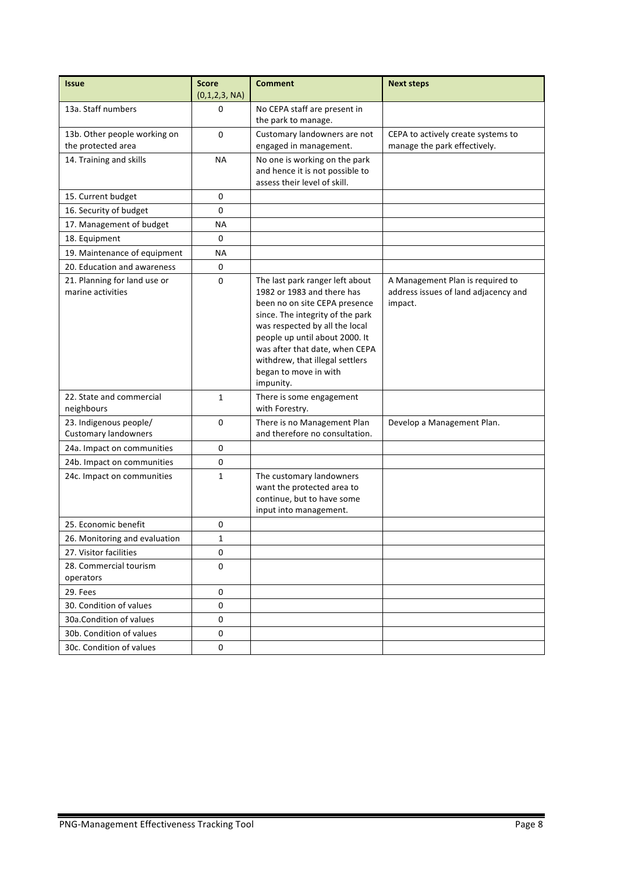| <b>Issue</b>                                          | <b>Score</b><br>(0,1,2,3, NA) | <b>Comment</b>                                                                                                                                                                                                                                                                                                    | <b>Next steps</b>                                                                   |
|-------------------------------------------------------|-------------------------------|-------------------------------------------------------------------------------------------------------------------------------------------------------------------------------------------------------------------------------------------------------------------------------------------------------------------|-------------------------------------------------------------------------------------|
| 13a. Staff numbers                                    | 0                             | No CEPA staff are present in<br>the park to manage.                                                                                                                                                                                                                                                               |                                                                                     |
| 13b. Other people working on<br>the protected area    | 0                             | Customary landowners are not<br>engaged in management.                                                                                                                                                                                                                                                            | CEPA to actively create systems to<br>manage the park effectively.                  |
| 14. Training and skills                               | NA                            | No one is working on the park<br>and hence it is not possible to<br>assess their level of skill.                                                                                                                                                                                                                  |                                                                                     |
| 15. Current budget                                    | 0                             |                                                                                                                                                                                                                                                                                                                   |                                                                                     |
| 16. Security of budget                                | 0                             |                                                                                                                                                                                                                                                                                                                   |                                                                                     |
| 17. Management of budget                              | ΝA                            |                                                                                                                                                                                                                                                                                                                   |                                                                                     |
| 18. Equipment                                         | 0                             |                                                                                                                                                                                                                                                                                                                   |                                                                                     |
| 19. Maintenance of equipment                          | ΝA                            |                                                                                                                                                                                                                                                                                                                   |                                                                                     |
| 20. Education and awareness                           | 0                             |                                                                                                                                                                                                                                                                                                                   |                                                                                     |
| 21. Planning for land use or<br>marine activities     | 0                             | The last park ranger left about<br>1982 or 1983 and there has<br>been no on site CEPA presence<br>since. The integrity of the park<br>was respected by all the local<br>people up until about 2000. It<br>was after that date, when CEPA<br>withdrew, that illegal settlers<br>began to move in with<br>impunity. | A Management Plan is required to<br>address issues of land adjacency and<br>impact. |
| 22. State and commercial<br>neighbours                | $\mathbf{1}$                  | There is some engagement<br>with Forestry.                                                                                                                                                                                                                                                                        |                                                                                     |
| 23. Indigenous people/<br><b>Customary landowners</b> | 0                             | There is no Management Plan<br>and therefore no consultation.                                                                                                                                                                                                                                                     | Develop a Management Plan.                                                          |
| 24a. Impact on communities                            | 0                             |                                                                                                                                                                                                                                                                                                                   |                                                                                     |
| 24b. Impact on communities                            | 0                             |                                                                                                                                                                                                                                                                                                                   |                                                                                     |
| 24c. Impact on communities                            | $\mathbf{1}$                  | The customary landowners<br>want the protected area to<br>continue, but to have some<br>input into management.                                                                                                                                                                                                    |                                                                                     |
| 25. Economic benefit                                  | 0                             |                                                                                                                                                                                                                                                                                                                   |                                                                                     |
| 26. Monitoring and evaluation                         | 1                             |                                                                                                                                                                                                                                                                                                                   |                                                                                     |
| 27. Visitor facilities                                | 0                             |                                                                                                                                                                                                                                                                                                                   |                                                                                     |
| 28. Commercial tourism<br>operators                   | 0                             |                                                                                                                                                                                                                                                                                                                   |                                                                                     |
| 29. Fees                                              | 0                             |                                                                                                                                                                                                                                                                                                                   |                                                                                     |
| 30. Condition of values                               | 0                             |                                                                                                                                                                                                                                                                                                                   |                                                                                     |
| 30a. Condition of values                              | 0                             |                                                                                                                                                                                                                                                                                                                   |                                                                                     |
| 30b. Condition of values                              | 0                             |                                                                                                                                                                                                                                                                                                                   |                                                                                     |
| 30c. Condition of values                              | 0                             |                                                                                                                                                                                                                                                                                                                   |                                                                                     |